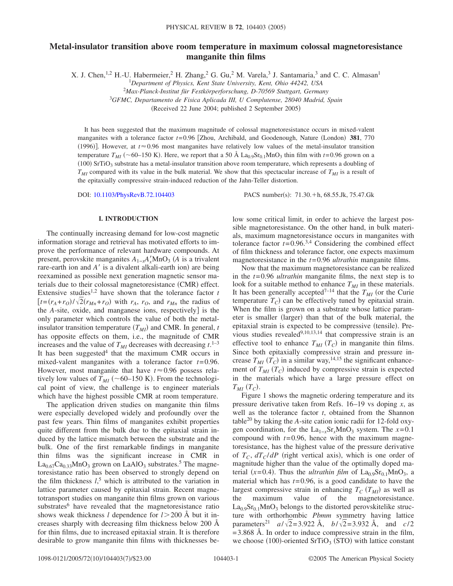# **Metal-insulator transition above room temperature in maximum colossal magnetoresistance manganite thin films**

X. J. Chen, <sup>1,2</sup> H.-U. Habermeier, <sup>2</sup> H. Zhang, <sup>2</sup> G. Gu, <sup>2</sup> M. Varela, <sup>3</sup> J. Santamaria, <sup>3</sup> and C. C. Almasan<sup>1</sup>

<sup>1</sup>*Department of Physics, Kent State University, Kent, Ohio 44242, USA*

2 *Max-Planck-Institut für Festkörperforschung, D-70569 Stuttgart, Germany*

<sup>3</sup>*GFMC, Departamento de Fisica Aplicada III, U Complutense, 28040 Madrid, Spain*

(Received 22 June 2004; published 2 September 2005)

It has been suggested that the maximum magnitude of colossal magnetoresistance occurs in mixed-valent manganites with a tolerance factor  $t=0.96$  [Zhou, Archibald, and Goodenough, Nature (London) 381, 770 (1996)]. However, at  $t \approx 0.96$  most manganites have relatively low values of the metal-insulator transition temperature  $T_{MI}$  (~60–150 K). Here, we report that a 50 Å  $\text{La}_{0.9}\text{Sr}_{0.1}\text{MnO}_3$  thin film with *t*=0.96 grown on a  $(100)$  SrTiO<sub>3</sub> substrate has a metal-insulator transition above room temperature, which represents a doubling of  $T_{MI}$  compared with its value in the bulk material. We show that this spectacular increase of  $T_{MI}$  is a result of the epitaxially compressive strain-induced reduction of the Jahn-Teller distortion.

DOI: [10.1103/PhysRevB.72.104403](http://dx.doi.org/10.1103/PhysRevB.72.104403)

PACS number(s): 71.30. + h, 68.55.Jk, 75.47.Gk

# **I. INTRODUCTION**

The continually increasing demand for low-cost magnetic information storage and retrieval has motivated efforts to improve the performance of relevant hardware compounds. At present, perovskite manganites  $A_{1-x}A'_xMnO_3$  (*A* is a trivalent rare-earth ion and A' is a divalent alkali-earth ion) are being reexamined as possible next generation magnetic sensor materials due to their colossal magnetoresistance (CMR) effect. Extensive studies<sup>1,2</sup> have shown that the tolerance factor  $t$  $[ t = (r_A + r_O) / \sqrt{2}(r_{Mn} + r_O)$  with  $r_A$ ,  $r_O$ , and  $r_{Mn}$  the radius of the *A*-site, oxide, and manganese ions, respectively] is the only parameter which controls the value of both the metalinsulator transition temperature  $(T_{MI})$  and CMR. In general,  $t$ has opposite effects on them, i.e., the magnitude of CMR increases and the value of  $T_{MI}$  decreases with decreasing  $t$ .<sup>1–3</sup> It has been suggested<sup>4</sup> that the maximum CMR occurs in mixed-valent manganites with a tolerance factor *t*=0.96. However, most manganite that have  $t \approx 0.96$  possess relatively low values of  $T_{MI}$  ( $\sim$  60–150 K). From the technological point of view, the challenge is to engineer materials which have the highest possible CMR at room temperature.

The application driven studies on manganite thin films were especially developed widely and profoundly over the past few years. Thin films of manganites exhibit properties quite different from the bulk due to the epitaxial strain induced by the lattice mismatch between the substrate and the bulk. One of the first remarkable findings in manganite thin films was the significant increase in CMR in  $La_{0.67}Ca_{0.33}MnO_3$  grown on LaAlO<sub>3</sub> substrates.<sup>5</sup> The magnetoresistance ratio has been observed to strongly depend on the film thickness  $l<sub>1</sub>$ <sup>5</sup> which is attributed to the variation in lattice parameter caused by epitaxial strain. Recent magnetotransport studies on manganite thin films grown on various substrates<sup>6</sup> have revealed that the magnetoresistance ratio shows weak thickness *l* dependence for  $l > 200$  Å but it increases sharply with decreasing film thickness below 200 Å for thin films, due to increased epitaxial strain. It is therefore desirable to grow manganite thin films with thicknesses below some critical limit, in order to achieve the largest possible magnetoresistance. On the other hand, in bulk materials, maximum magnetoresistance occurs in manganites with tolerance factor  $t=0.96^{3,4}$  Considering the combined effect of film thickness and tolerance factor, one expects maximum magnetoresistance in the *t*=0.96 *ultrathin* manganite films.

Now that the maximum magnetoresistance can be realized in the *t*=0.96 *ultrathin* manganite films, the next step is to look for a suitable method to enhance  $T_{MI}$  in these materials. It has been generally accepted<sup>7-14</sup> that the  $T_{MI}$  (or the Curie temperature  $T_c$ ) can be effectively tuned by epitaxial strain. When the film is grown on a substrate whose lattice parameter is smaller (larger) than that of the bulk material, the epitaxial strain is expected to be compressive (tensile). Previous studies revealed $9,10,13,14$  that compressive strain is an effective tool to enhance  $T_{MI}(T_C)$  in manganite thin films. Since both epitaxially compressive strain and pressure increase  $T_{MI}$  ( $T_C$ ) in a similar way,<sup>14,15</sup> the significant enhancement of  $T_{MI}$   $(T_C)$  induced by compressive strain is expected in the materials which have a large pressure effect on  $T_{MI}$   $(T_C)$ .

Figure 1 shows the magnetic ordering temperature and its pressure derivative taken from Refs. 16–19 vs doping *x*, as well as the tolerance factor *t*, obtained from the Shannon table20 by taking the *A*-site cation ionic radii for 12-fold oxygen coordination, for the La<sub>1−*x*</sub>Sr<sub>*x*</sub>MnO<sub>3</sub> system. The *x*=0.1 compound with  $t=0.96$ , hence with the maximum magnetoresistance, has the highest value of the pressure derivative of  $T_c$ ,  $dT_c/dP$  (right vertical axis), which is one order of magnitude higher than the value of the optimally doped material  $(x=0.4)$ . Thus the *ultrathin film* of  $La<sub>0.9</sub>Sr<sub>0.1</sub>MnO<sub>3</sub>$ , a material which has  $t=0.96$ , is a good candidate to have the largest compressive strain in enhancing  $T_C(T_{MI})$  as well as the maximum value of the magnetoresistance.  $La<sub>0.9</sub>Sr<sub>0.1</sub>MnO<sub>3</sub>$  belongs to the distorted perovskitelike structure with orthorhombic *Pbmm* symmetry having lattice parameters<sup>21</sup> *a*/ $\sqrt{2}$ =3.922 Å, *b*/ $\sqrt{2}$ =3.932 Å, and *c*/2  $=$  3.868 Å. In order to induce compressive strain in the film, we choose  $(100)$ -oriented SrTiO<sub>3</sub> (STO) with lattice constant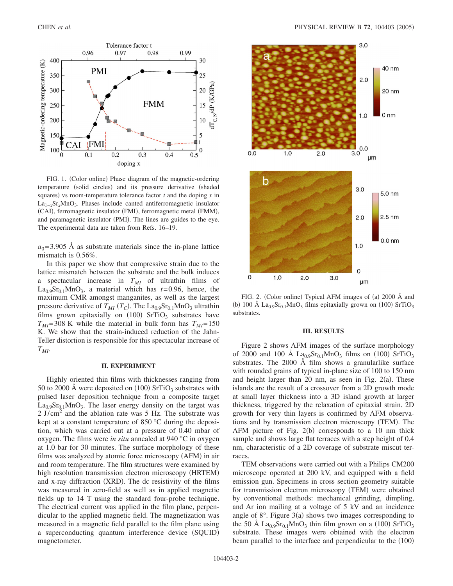

FIG. 1. (Color online) Phase diagram of the magnetic-ordering temperature (solid circles) and its pressure derivative (shaded squares) vs room-temperature tolerance factor  $t$  and the doping  $x$  in  $La_{1-r}Sr_rMnO_3$ . Phases include canted antiferromagnetic insulator (CAI), ferromagnetic insulator (FMI), ferromagnetic metal (FMM), and paramagnetic insulator (PMI). The lines are guides to the eye. The experimental data are taken from Refs. 16–19.

 $a_0$ =3.905 Å as substrate materials since the in-plane lattice mismatch is 0.56%.

In this paper we show that compressive strain due to the lattice mismatch between the substrate and the bulk induces a spectacular increase in  $T_{MI}$  of ultrathin films of La<sub>0.9</sub>Sr<sub>0.1</sub>MnO<sub>3</sub>, a material which has  $t=0.96$ , hence, the maximum CMR amongst manganites, as well as the largest pressure derivative of  $T_{MI}$  ( $T_C$ ). The  $\text{La}_{0.9}\text{Sr}_{0.1}\text{MnO}_3$  ultrathin films grown epitaxially on  $(100)$  SrTiO<sub>3</sub> substrates have  $T_{MI}$ =308 K while the material in bulk form has  $T_{MI}$ =150 K. We show that the strain-induced reduction of the Jahn-Teller distortion is responsible for this spectacular increase of  $T_{MI}$ .

## **II. EXPERIMENT**

Highly oriented thin films with thicknesses ranging from 50 to 2000 Å were deposited on  $(100)$  SrTiO<sub>3</sub> substrates with pulsed laser deposition technique from a composite target  $La<sub>0.9</sub>Sr<sub>0.1</sub>MnO<sub>3</sub>$ . The laser energy density on the target was  $2 \text{ J/cm}^2$  and the ablation rate was 5 Hz. The substrate was kept at a constant temperature of 850 °C during the deposition, which was carried out at a pressure of 0.40 mbar of oxygen. The films were *in situ* annealed at 940 °C in oxygen at 1.0 bar for 30 minutes. The surface morphology of these films was analyzed by atomic force microscopy (AFM) in air and room temperature. The film structures were examined by high resolution transmission electron microscopy (HRTEM) and x-ray diffraction (XRD). The dc resistivity of the films was measured in zero-field as well as in applied magnetic fields up to 14 T using the standard four-probe technique. The electrical current was applied in the film plane, perpendicular to the applied magnetic field. The magnetization was measured in a magnetic field parallel to the film plane using a superconducting quantum interference device (SQUID) magnetometer.



FIG. 2. (Color online) Typical AFM images of (a) 2000 Å and (b) 100 Å  $La<sub>0.9</sub>Sr<sub>0.1</sub>MnO<sub>3</sub>$  films epitaxially grown on (100) SrTiO<sub>3</sub> substrates.

#### **III. RESULTS**

Figure 2 shows AFM images of the surface morphology of 2000 and 100 Å  $L_{20.9}$ Sr<sub>0.1</sub>MnO<sub>3</sub> films on (100) SrTiO<sub>3</sub> substrates. The 2000 Å film shows a granularlike surface with rounded grains of typical in-plane size of 100 to 150 nm and height larger than 20 nm, as seen in Fig.  $2(a)$ . These islands are the result of a crossover from a 2D growth mode at small layer thickness into a 3D island growth at larger thickness, triggered by the relaxation of epitaxial strain. 2D growth for very thin layers is confirmed by AFM observations and by transmission electron microscopy (TEM). The AFM picture of Fig.  $2(b)$  corresponds to a 10 nm thick sample and shows large flat terraces with a step height of 0.4 nm, characteristic of a 2D coverage of substrate miscut terraces.

TEM observations were carried out with a Philips CM200 microscope operated at 200 kV, and equipped with a field emission gun. Specimens in cross section geometry suitable for transmission electron microscopy (TEM) were obtained by conventional methods: mechanical grinding, dimpling, and Ar ion mailing at a voltage of 5 kV and an incidence angle of  $8^\circ$ . Figure  $3(a)$  shows two images corresponding to the 50 Å  $\text{La}_{0.9}\text{Sr}_{0.1}\text{MnO}_3$  thin film grown on a (100)  $\text{SrTiO}_3$ substrate. These images were obtained with the electron beam parallel to the interface and perpendicular to the (100)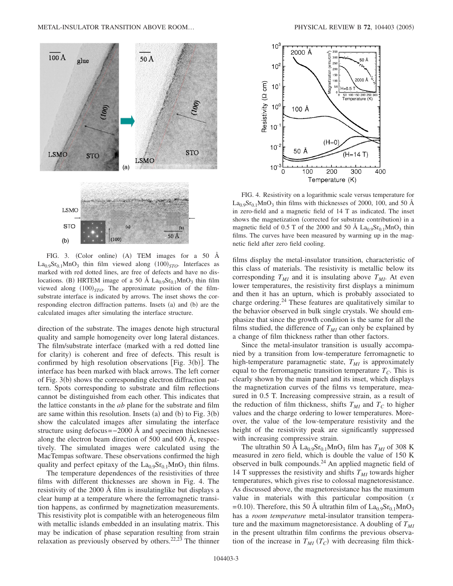

FIG. 3. (Color online) (A) TEM images for a 50 Å  $La<sub>0.9</sub>Sr<sub>0.1</sub>MnO<sub>3</sub>$  thin film viewed along  $(100)<sub>STO</sub>$ . Interfaces as marked with red dotted lines, are free of defects and have no dislocations. (B) HRTEM image of a 50 Å  $La<sub>0.9</sub>Sr<sub>0.1</sub>MnO<sub>3</sub>$  thin film viewed along  $(100)_{STO}$ . The approximate position of the filmsubstrate interface is indicated by arrows. The inset shows the corresponding electron diffraction patterns. Insets (a) and (b) are the calculated images after simulating the interface structure.

direction of the substrate. The images denote high structural quality and sample homogeneity over long lateral distances. The film/substrate interface (marked with a red dotted line for clarity) is coherent and free of defects. This result is confirmed by high resolution observations [Fig.  $3(b)$ ]. The interface has been marked with black arrows. The left corner of Fig. 3(b) shows the corresponding electron diffraction pattern. Spots corresponding to substrate and film reflections cannot be distinguished from each other. This indicates that the lattice constants in the *ab* plane for the substrate and film are same within this resolution. Insets (a) and (b) to Fig.  $3(b)$ show the calculated images after simulating the interface structure using defocus=−2000 Å and specimen thicknesses along the electron beam direction of 500 and 600 Å, respectively. The simulated images were calculated using the MacTempas software. These observations confirmed the high quality and perfect epitaxy of the  $La<sub>0.9</sub>Sr<sub>0.1</sub>MnO<sub>3</sub>$  thin films.

The temperature dependences of the resistivities of three films with different thicknesses are shown in Fig. 4. The resistivity of the 2000 Å film is insulatinglike but displays a clear hump at a temperature where the ferromagnetic transition happens, as confirmed by magnetization measurements. This resistivity plot is compatible with an heterogeneous film with metallic islands embedded in an insulating matrix. This may be indication of phase separation resulting from strain relaxation as previously observed by others.<sup>22,23</sup> The thinner



FIG. 4. Resistivity on a logarithmic scale versus temperature for  $La<sub>0.9</sub>Sr<sub>0.1</sub>MnO<sub>3</sub>$  thin films with thicknesses of 2000, 100, and 50 Å in zero-field and a magnetic field of 14 T as indicated. The inset shows the magnetization (corrected for substrate contribution) in a magnetic field of 0.5 T of the 2000 and 50 Å  $La<sub>0.9</sub>Sr<sub>0.1</sub>MnO<sub>3</sub>$  thin films. The curves have been measured by warming up in the magnetic field after zero field cooling.

films display the metal-insulator transition, characteristic of this class of materials. The resistivity is metallic below its corresponding  $T_{MI}$  and it is insulating above  $T_{MI}$ . At even lower temperatures, the resistivity first displays a minimum and then it has an upturn, which is probably associated to charge ordering.<sup>24</sup> These features are qualitatively similar to the behavior observed in bulk single crystals. We should emphasize that since the growth condition is the same for all the films studied, the difference of  $T_{MI}$  can only be explained by a change of film thickness rather than other factors.

Since the metal-insulator transition is usually accompanied by a transition from low-temperature ferromagnetic to high-temperature paramagnetic state,  $T_{MI}$  is approximately equal to the ferromagnetic transition temperature  $T_c$ . This is clearly shown by the main panel and its inset, which displays the magnetization curves of the films vs temperature, measured in 0.5 T. Increasing compressive strain, as a result of the reduction of film thickness, shifts  $T_{MI}$  and  $T_C$  to higher values and the charge ordering to lower temperatures. Moreover, the value of the low-temperature resistivity and the height of the resistivity peak are significantly suppressed with increasing compressive strain.

The ultrathin 50 Å  $La<sub>0.9</sub>Sr<sub>0.1</sub>MnO<sub>3</sub>$  film has  $T<sub>MI</sub>$  of 308 K measured in zero field, which is double the value of 150 K observed in bulk compounds.<sup>24</sup> An applied magnetic field of 14 T suppresses the resistivity and shifts  $T_{MI}$  towards higher temperatures, which gives rise to colossal magnetoresistance. As discussed above, the magnetoresistance has the maximum value in materials with this particular composition  $(x<sub>x</sub>)$ =0.10). Therefore, this 50 Å ultrathin film of  $La_{0.9}Sr_{0.1}MnO_3$ has a *room temperature* metal-insulator transition temperature and the maximum magnetoresistance. A doubling of  $T_{MI}$ in the present ultrathin film confirms the previous observation of the increase in  $T_{MI}(T_C)$  with decreasing film thick-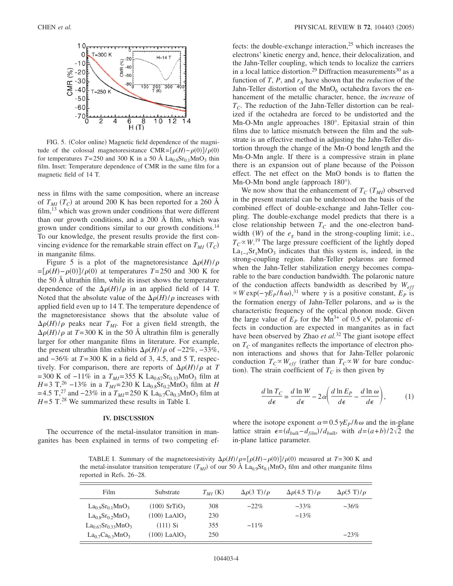

FIG. 5. (Color online) Magnetic field dependence of the magnitude of the colossal magnetoresistance CMR= $[\rho(H) - \rho(0)]/\rho(0)$ for temperatures  $T=250$  and 300 K in a 50 Å La<sub>0.9</sub>Sr<sub>0.1</sub>MnO<sub>3</sub> thin film. Inset: Temperature dependence of CMR in the same film for a magnetic field of 14 T.

ness in films with the same composition, where an increase of  $T_{MI}$  ( $T_C$ ) at around 200 K has been reported for a 260 Å film,<sup>13</sup> which was grown under conditions that were different than our growth conditions, and a 200 Å film, which was grown under conditions similar to our growth conditions.<sup>14</sup> To our knowledge, the present results provide the first convincing evidence for the remarkable strain effect on  $T_{MI}$   $(T_C)$ in manganite films.

Figure 5 is a plot of the magnetoresistance  $\Delta \rho(H)/\rho$  $=[\rho(H)-\rho(0)]/\rho(0)$  at temperatures *T*=250 and 300 K for the 50 Å ultrathin film, while its inset shows the temperature dependence of the  $\Delta \rho(H)/\rho$  in an applied field of 14 T. Noted that the absolute value of the  $\Delta \rho(H)/\rho$  increases with applied field even up to 14 T. The temperature dependence of the magnetoresistance shows that the absolute value of  $\Delta \rho(H)/\rho$  peaks near  $T_{MI}$ . For a given field strength, the  $\Delta \rho(H)/\rho$  at *T*=300 K in the 50 Å ultrathin film is generally larger for other manganite films in literature. For example, the present ultrathin film exhibits  $\Delta \rho(H)/\rho$  of  $-22\%$ ,  $-33\%$ , and −36% at *T*=300 K in a field of 3, 4.5, and 5 T, respectively. For comparison, there are reports of  $\Delta \rho(H)/\rho$  at *T* =300 K of  $-11\%$  in a  $T_{MI}$ =355 K La<sub>0.67</sub>Sr<sub>0.33</sub>MnO<sub>3</sub> film at *H*=3 T,<sup>26</sup> −13% in a  $T_{MI}$ =230 K La<sub>0.8</sub>Sr<sub>0.2</sub>MnO<sub>3</sub> film at *H* =4.5 T,<sup>27</sup> and −23% in a  $T_{MI}$ =250 K La<sub>0.7</sub>Ca<sub>0.3</sub>MnO<sub>3</sub> film at  $H=5$  T.<sup>28</sup> We summarized these results in Table I.

### **IV. DISCUSSION**

The occurrence of the metal-insulator transition in manganites has been explained in terms of two competing effects: the double-exchange interaction, $2<sup>5</sup>$  which increases the electrons' kinetic energy and, hence, their delocalization, and the Jahn-Teller coupling, which tends to localize the carriers in a local lattice distortion.<sup>29</sup> Diffraction measurements<sup>30</sup> as a function of  $T$ ,  $P$ , and  $r_A$  have shown that the *reduction* of the Jahn-Teller distortion of the  $MnO<sub>6</sub>$  octahedra favors the enhancement of the metallic character, hence, the *increase* of  $T<sub>C</sub>$ . The reduction of the Jahn-Teller distortion can be realized if the octahedra are forced to be undistorted and the Mn-O-Mn angle approaches 180°. Epitaxial strain of thin films due to lattice mismatch between the film and the substrate is an effective method in adjusting the Jahn-Teller distortion through the change of the Mn-O bond length and the Mn-O-Mn angle. If there is a compressive strain in plane there is an expansion out of plane because of the Poisson effect. The net effect on the MnO bonds is to flatten the Mn-O-Mn bond angle (approach 180°).

We now show that the enhancement of  $T_C(T_{MI})$  observed in the present material can be understood on the basis of the combined effect of double-exchange and Jahn-Teller coupling. The double-exchange model predicts that there is a close relationship between  $T_c$  and the one-electron bandwidth  $(W)$  of the  $e_g$  band in the strong-coupling limit; i.e.,  $T_C \propto W$ <sup>19</sup>. The large pressure coefficient of the lightly doped  $La_{1-x}Sr_xMnO_3$  indicates that this system is, indeed, in the strong-coupling region. Jahn-Teller polarons are formed when the Jahn-Teller stabilization energy becomes comparable to the bare conduction bandwidth. The polaronic nature of the conduction affects bandwidth as described by *Weff*  $\propto$  *W* exp( $-\gamma E_P/\hbar \omega$ ),<sup>31</sup> where  $\gamma$  is a positive constant,  $E_P$  is the formation energy of Jahn-Teller polarons, and  $\omega$  is the characteristic frequency of the optical phonon mode. Given the large value of  $E_p$  for the Mn<sup>3+</sup> of 0.5 eV, polaronic effects in conduction are expected in manganites as in fact have been observed by Zhao *et al.*<sup>32</sup> The giant isotope effect on  $T_c$  of manganites reflects the importance of electron phonon interactions and shows that for Jahn-Teller polaronic conduction  $T_C \propto W_{eff}$  (rather than  $T_C \propto W$  for bare conduction). The strain coefficient of  $T_C$  is then given by

$$
\frac{d \ln T_C}{d\epsilon} = \frac{d \ln W}{d\epsilon} - 2\alpha \left( \frac{d \ln E_P}{d\epsilon} - \frac{d \ln \omega}{d\epsilon} \right),\tag{1}
$$

where the isotope exponent  $\alpha = 0.5 \gamma E_P / \hbar \omega$  and the in-plane lattice strain  $\epsilon = (d_{bulk} - d_{film})/d_{bulk}$ , with  $d = (a+b)/2\sqrt{2}$  the in-plane lattice parameter.

TABLE I. Summary of the magnetoresistivity  $\Delta \rho(H)/\rho = [\rho(H) - \rho(0)]/\rho(0)$  measured at  $T = 300$  K and the metal-insulator transition temperature  $(T_{M1})$  of our 50 Å  $La<sub>0.9</sub>Sr<sub>0.1</sub>MnO<sub>3</sub>$  film and other manganite films reported in Refs. 26–28.

| Film                                                   | Substrate                  | $T_{MI}$ (K) | $\Delta \rho(3 T)/\rho$ | $\Delta\rho$ (4.5 T)/ $\rho$ | $\Delta \rho (5 \text{ T})/\rho$ |
|--------------------------------------------------------|----------------------------|--------------|-------------------------|------------------------------|----------------------------------|
| $La_0$ <sub>9</sub> Sr <sub>0 1</sub> MnO <sub>3</sub> | $(100)$ SrTiO <sub>3</sub> | 308          | $-22%$                  | $-33\%$                      | $-36\%$                          |
| $La0.8Sr0.2MnO3$                                       | $(100)$ LaAlO <sub>3</sub> | 230          |                         | $-13%$                       |                                  |
| $La_{0.67}Sr_{0.33}MnO_3$                              | $(111)$ Si                 | 355          | $-11\%$                 |                              |                                  |
| $La_0$ <sub>7</sub> $Ca_0$ <sub>3</sub> $MnO_3$        | $(100)$ LaAlO <sub>3</sub> | 250          |                         |                              | $-23%$                           |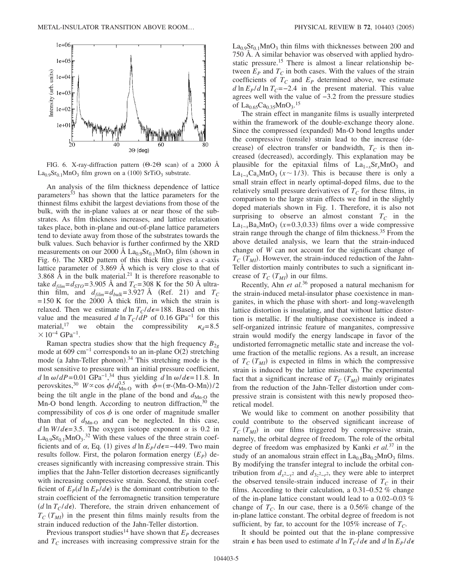

FIG. 6. X-ray-diffraction pattern  $(\Theta$ -2 $\Theta$  scan) of a 2000 Å  $La<sub>0.9</sub>Sr<sub>0.1</sub>MnO<sub>3</sub>$  film grown on a (100) SrTiO<sub>3</sub> substrate.

An analysis of the film thickness dependence of lattice parameters<sup>33</sup> has shown that the lattice parameters for the thinnest films exhibit the largest deviations from those of the bulk, with the in-plane values at or near those of the substrates. As film thickness increases, and lattice relaxation takes place, both in-plane and out-of-plane lattice parameters tend to deviate away from those of the substrates towards the bulk values. Such behavior is further confirmed by the XRD measurements on our 2000 Å  $La<sub>0.9</sub>Sr<sub>0.1</sub>MnO<sub>3</sub>$  film (shown in Fig. 6). The XRD pattern of this thick film gives a *c*-axis lattice parameter of 3.869 Å which is very close to that of 3.868 Å in the bulk material.<sup>21</sup> It is therefore reasonable to take  $d_{film} = d_{STO} = 3.905$  Å and  $T_C = 308$  K for the 50 Å ultrathin film, and  $d_{film} = d_{bulk} = 3.927 \text{ Å}$  (Ref. 21) and  $T_C$  $=150$  K for the 2000 Å thick film, in which the strain is relaxed. Then we estimate  $d \ln T_C/d\epsilon = 188$ . Based on this value and the measured *d* ln  $T_C/dP$  of 0.16 GPa<sup>-1</sup> for this material,<sup>17</sup> we obtain the compressibility  $\kappa_d$ =8.5 obtain the compressibility  $\kappa_d=8.5$  $× 10^{-4}$  GPa<sup>-1</sup>.

Raman spectra studies show that the high frequency  $B_{2g}$ mode at 609  $\text{cm}^{-1}$  corresponds to an in-plane O(2) stretching mode (a Jahn-Teller phonon).<sup>34</sup> This stretching mode is the most sensitive to pressure with an initial pressure coefficient,  $d \ln \omega/dP = 0.01$  GPa<sup>-1</sup>,<sup>34</sup> thus yielding  $d \ln \omega/d\epsilon = 11.8$ . In perovskites,<sup>30</sup>  $W \propto \cos \phi / d_{\text{Mn-O}}^{3.5}$  with  $\phi = (\pi - \langle \text{Mn-O-Mn} \rangle) / 2$ being the tilt angle in the plane of the bond and  $d_{Mn-0}$  the Mn-O bond length. According to neutron diffraction,  $30$  the compressibility of  $\cos \phi$  is one order of magnitude smaller than that of  $d_{\text{Mn-O}}$  and can be neglected. In this case, *d* ln *W*/*d* $\epsilon$ =3.5. The oxygen isotope exponent  $\alpha$  is 0.2 in  $La<sub>0.9</sub>Sr<sub>0.1</sub>MnO<sub>3</sub>.<sup>32</sup>$  With these values of the three strain coefficients and of  $\alpha$ , Eq. (1) gives  $d \ln E_P/d\epsilon = -449$ . Two main results follow. First, the polaron formation energy  $(E_P)$  decreases significantly with increasing compressive strain. This implies that the Jahn-Teller distortion decreases significantly with increasing compressive strain. Second, the strain coefficient of  $E_p(d \ln E_p/d\epsilon)$  is the dominant contribution to the strain coefficient of the ferromagnetic transition temperature  $(d \ln T_C/d\epsilon)$ . Therefore, the strain driven enhancement of  $T_{C}(T_{MI})$  in the present thin films mainly results from the strain induced reduction of the Jahn-Teller distortion.

Previous transport studies<sup>14</sup> have shown that  $E_p$  decreases and  $T_c$  increases with increasing compressive strain for the

 $La<sub>0.9</sub>Sr<sub>0.1</sub>MnO<sub>3</sub>$  thin films with thicknesses between 200 and 750 Å. A similar behavior was observed with applied hydrostatic pressure.<sup>15</sup> There is almost a linear relationship between  $E_p$  and  $T_c$  in both cases. With the values of the strain coefficients of  $T_c$  and  $E_p$  determined above, we estimate  $d \ln E_P/d \ln T_C$ =−2.4 in the present material. This value agrees well with the value of −3.2 from the pressure studies of  $La_{0.65}Ca_{0.35}MnO_3.15$ 

The strain effect in manganite films is usually interpreted within the framework of the double-exchange theory alone. Since the compressed (expanded) Mn-O bond lengths under the compressive (tensile) strain lead to the increase (decrease) of electron transfer or bandwidth,  $T_c$  is then increased (decreased), accordingly. This explanation may be plausible for the epitaxial films of  $La_{1-r}Sr_xMnO_3$  and  $La_{1-x}Ca_xMnO_3$  ( $x \sim 1/3$ ). This is because there is only a small strain effect in nearly optimal-doped films, due to the relatively small pressure derivatives of  $T_c$  for these films, in comparison to the large strain effects we find in the slightly doped materials shown in Fig. 1. Therefore, it is also not surprising to observe an almost constant  $T_c$  in the  $\text{La}_{1-x}\text{Ba}_x\text{MnO}_3$  (x=0.3,0.33) films over a wide compressive strain range through the change of film thickness.<sup>35</sup> From the above detailed analysis, we learn that the strain-induced change of *W* can not account for the significant change of  $T_{C}$  ( $T_{MI}$ ). However, the strain-induced reduction of the Jahn-Teller distortion mainly contributes to such a significant increase of  $T_C(T_{MI})$  in our films.

Recently, Ahn *et al.*<sup>36</sup> proposed a natural mechanism for the strain-induced metal-insulator phase coexistence in manganites, in which the phase with short- and long-wavelength lattice distortion is insulating, and that without lattice distortion is metallic. If the multiphase coexistence is indeed a self-organized intrinsic feature of manganites, compressive strain would modify the energy landscape in favor of the undistorted ferromagnetic metallic state and increase the volume fraction of the metallic regions. As a result, an increase of  $T_{C}$  ( $T_{MI}$ ) is expected in films in which the compressive strain is induced by the lattice mismatch. The experimental fact that a significant increase of  $T_C(T_{MI})$  mainly originates from the reduction of the Jahn-Teller distortion under compressive strain is consistent with this newly proposed theoretical model.

We would like to comment on another possibility that could contribute to the observed significant increase of  $T_{C}$  ( $T_{MI}$ ) in our films triggered by compressive strain, namely, the orbital degree of freedom. The role of the orbital degree of freedom was emphasized by Kanki *et al.*<sup>37</sup> in the study of an anomalous strain effect in  $La_{0.8}Ba_{0.2}MnO_3$  films. By modifying the transfer integral to include the orbital contribution from  $d_{x^2-y^2}$  and  $d_{3z^2-r^2}$ , they were able to interpret the observed tensile-strain induced increase of  $T_c$  in their films. According to their calculation, a 0.31–0.52 % change of the in-plane lattice constant would lead to a 0.02–0.03 % change of  $T_c$ . In our case, there is a 0.56% change of the in-plane lattice constant. The orbital degree of freedom is not sufficient, by far, to account for the  $105\%$  increase of  $T_C$ .

It should be pointed out that the in-plane compressive strain  $\epsilon$  has been used to estimate *d* ln  $T_C/d\epsilon$  and *d* ln  $E_P/d\epsilon$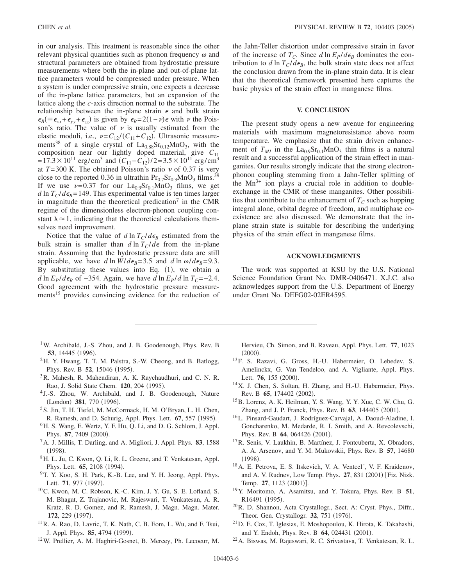in our analysis. This treatment is reasonable since the other relevant physical quantities such as phonon frequency  $\omega$  and structural parameters are obtained from hydrostatic pressure measurements where both the in-plane and out-of-plane lattice parameters would be compressed under pressure. When a system is under compressive strain, one expects a decrease of the in-plane lattice parameters, but an expansion of the lattice along the *c*-axis direction normal to the substrate. The relationship between the in-plane strain  $\epsilon$  and bulk strain  $\epsilon_B$ ( $\equiv \epsilon_{xx} + \epsilon_{yy} + \epsilon_{zz}$ ) is given by  $\epsilon_B = 2(1-\nu)\epsilon$  with  $\nu$  the Poisson's ratio. The value of  $\nu$  is usually estimated from the elastic moduli, i.e.,  $\nu = C_{12} / (C_{11} + C_{12})$ . Ultrasonic measurements<sup>38</sup> of a single crystal of  $La<sub>0.88</sub>Sr<sub>0.12</sub>MnO<sub>3</sub>$ , with the composition near our lightly doped material, give *C*<sup>11</sup>  $=17.3 \times 10^{11}$  erg/cm<sup>3</sup> and  $(C_{11} - C_{12})/2 = 3.5 \times 10^{11}$  erg/cm<sup>3</sup> at  $T=300$  K. The obtained Poisson's ratio  $\nu$  of 0.37 is very close to the reported 0.36 in ultrathin  $Pr_{0.7}Sr_{0.3}MnO_3$  films.<sup>39</sup> If we use  $\nu=0.37$  for our  $La<sub>0.9</sub>Sr<sub>0.1</sub>MnO<sub>3</sub>$  films, we get  $d \ln T_C/d\epsilon_B = 149$ . This experimental value is ten times larger in magnitude than the theoretical predication<sup> $\tau$ </sup> in the CMR regime of the dimensionless electron-phonon coupling constant  $\lambda \approx 1$ , indicating that the theoretical calculations themselves need improvement.

Notice that the value of *d* ln  $T_C/d\epsilon_B$  estimated from the bulk strain is smaller than  $d \ln T_C/d\epsilon$  from the in-plane strain. Assuming that the hydrostatic pressure data are still applicable, we have *d* ln  $W/d\epsilon_B = 3.5$  and *d* ln  $\omega/d\epsilon_B = 9.3$ . By substituting these values into Eq.  $(1)$ , we obtain a *d* ln  $E_P/d\epsilon_B$  of −354. Again, we have *d* ln  $E_P/d$  ln  $T_C$ =−2.4. Good agreement with the hydrostatic pressure measurements<sup>15</sup> provides convincing evidence for the reduction of

- <sup>1</sup>W. Archibald, J.-S. Zhou, and J. B. Goodenough, Phys. Rev. B **53**, 14445 (1996).
- 2H. Y. Hwang, T. T. M. Palstra, S.-W. Cheong, and B. Batlogg, Phys. Rev. B 52, 15046 (1995).
- <sup>3</sup>R. Mahesh, R. Mahendiran, A. K. Raychaudhuri, and C. N. R. Rao, J. Solid State Chem. 120, 204 (1995).
- <sup>4</sup> J.-S. Zhou, W. Archibald, and J. B. Goodenough, Nature (London) 381, 770 (1996).
- <sup>5</sup> S. Jin, T. H. Tiefel, M. McCormack, H. M. O'Bryan, L. H. Chen, R. Ramesh, and D. Schurig, Appl. Phys. Lett. **67**, 557 (1995).
- 6H. S. Wang, E. Wertz, Y. F. Hu, Q. Li, and D. G. Schlom, J. Appl. Phys. 87, 7409 (2000).
- 7A. J. Millis, T. Darling, and A. Migliori, J. Appl. Phys. **83**, 1588  $(1998).$
- 8H. L. Ju, C. Kwon, Q. Li, R. L. Greene, and T. Venkatesan, Appl. Phys. Lett. **65**, 2108 (1994).
- <sup>9</sup>T. Y. Koo, S. H. Park, K.-B. Lee, and Y. H. Jeong, Appl. Phys. Lett. **71**, 977 (1997).
- 10C. Kwon, M. C. Robson, K.-C. Kim, J. Y. Gu, S. E. Lofland, S. M. Bhagat, Z. Trajanovic, M. Rajeswari, T. Venkatesan, A. R. Kratz, R. D. Gomez, and R. Ramesh, J. Magn. Magn. Mater. 172, 229 (1997).
- 11R. A. Rao, D. Lavric, T. K. Nath, C. B. Eom, L. Wu, and F. Tsui, J. Appl. Phys. 85, 4794 (1999).
- 12W. Prellier, A. M. Haghiri-Gosnet, B. Mercey, Ph. Lecoeur, M.

the Jahn-Teller distortion under compressive strain in favor of the increase of  $T_c$ . Since *d* ln  $E_P/d\epsilon_B$  dominates the contribution to *d* ln  $T_C/d\epsilon_B$ , the bulk strain state does not affect the conclusion drawn from the in-plane strain data. It is clear that the theoretical framework presented here captures the basic physics of the strain effect in manganese films.

#### **V. CONCLUSION**

The present study opens a new avenue for engineering materials with maximum magnetoresistance above room temperature. We emphasize that the strain driven enhancement of  $T_{MI}$  in the  $La<sub>0.9</sub>Sr<sub>0.1</sub>MnO<sub>3</sub>$  thin films is a natural result and a successful application of the strain effect in manganites. Our results strongly indicate that the strong electronphonon coupling stemming from a Jahn-Teller splitting of the  $Mn^{3+}$  ion plays a crucial role in addition to doubleexchange in the CMR of these manganites. Other possibilities that contribute to the enhancement of  $T_c$  such as hopping integral alone, orbital degree of freedom, and multiphase coexistence are also discussed. We demonstrate that the inplane strain state is suitable for describing the underlying physics of the strain effect in manganese films.

### **ACKNOWLEDGMENTS**

The work was supported at KSU by the U.S. National Science Foundation Grant No. DMR-0406471. X.J.C. also acknowledges support from the U.S. Department of Energy under Grant No. DEFG02-02ER4595.

- Hervieu, Ch. Simon, and B. Raveau, Appl. Phys. Lett. **77**, 1023  $(2000).$
- 13F. S. Razavi, G. Gross, H.-U. Habermeier, O. Lebedev, S. Amelinckx, G. Van Tendeloo, and A. Vigliante, Appl. Phys. Lett. 76, 155 (2000).
- 14X. J. Chen, S. Soltan, H. Zhang, and H.-U. Habermeier, Phys. Rev. B 65, 174402 (2002).
- 15B. Lorenz, A. K. Heilman, Y. S. Wang, Y. Y. Xue, C. W. Chu, G. Zhang, and J. P. Franck, Phys. Rev. B 63, 144405 (2001).
- 16L. Pinsard-Gaudart, J. Rodríguez-Carvajal, A. Daoud-Aladine, I. Goncharenko, M. Medarde, R. I. Smith, and A. Revcolevschi, Phys. Rev. B 64, 064426 (2001).
- 17R. Senis, V. Laukhin, B. Martínez, J. Fontcuberta, X. Obradors, A. A. Arsenov, and Y. M. Mukovskii, Phys. Rev. B **57**, 14680  $(1998).$
- 18A. E. Petrova, E. S. Itskevich, V. A. Ventcel´, V. F. Kraidenov, and A. V. Rudnev, Low Temp. Phys. 27, 831 (2001) [Fiz. Nizk. Temp. 27, 1123 (2001)].
- 19Y. Moritomo, A. Asamitsu, and Y. Tokura, Phys. Rev. B **51**, R16491 (1995).
- 20R. D. Shannon, Acta Crystallogr., Sect. A: Cryst. Phys., Diffr., Theor. Gen. Crystallogr. 32, 751 (1976).
- 21D. E. Cox, T. Iglesias, E. Moshopoulou, K. Hirota, K. Takahashi, and Y. Endoh, Phys. Rev. B 64, 024431 (2001).
- 22A. Biswas, M. Rajeswari, R. C. Srivastava, T. Venkatesan, R. L.